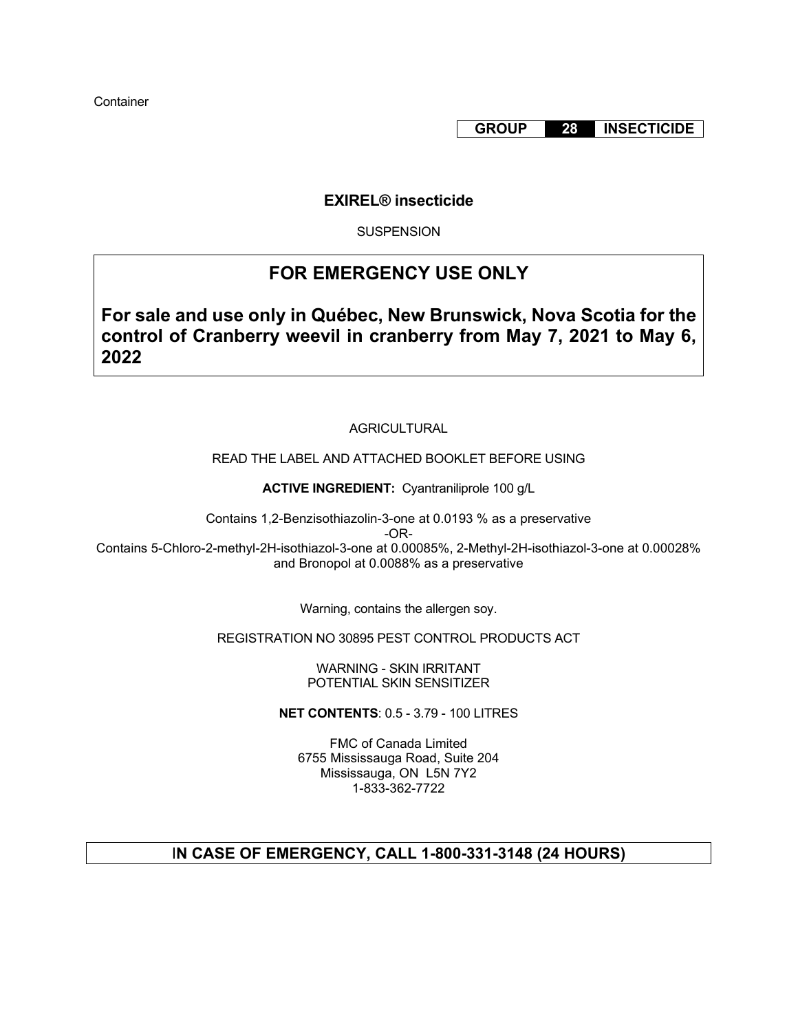**GROUP 28 INSECTICIDE**

## **EXIREL® insecticide**

**SUSPENSION** 

# **FOR EMERGENCY USE ONLY**

**For sale and use only in Québec, New Brunswick, Nova Scotia for the control of Cranberry weevil in cranberry from May 7, 2021 to May 6, 2022**

## AGRICULTURAL

## READ THE LABEL AND ATTACHED BOOKLET BEFORE USING

**ACTIVE INGREDIENT:** Cyantraniliprole 100 g/L

Contains 1,2-Benzisothiazolin-3-one at 0.0193 % as a preservative

-OR-

Contains 5-Chloro-2-methyl-2H-isothiazol-3-one at 0.00085%, 2-Methyl-2H-isothiazol-3-one at 0.00028% and Bronopol at 0.0088% as a preservative

Warning, contains the allergen soy.

REGISTRATION NO 30895 PEST CONTROL PRODUCTS ACT

WARNING - SKIN IRRITANT POTENTIAL SKIN SENSITIZER

**NET CONTENTS**: 0.5 - 3.79 - 100 LITRES

FMC of Canada Limited 6755 Mississauga Road, Suite 204 Mississauga, ON L5N 7Y2 1-833-362-7722

## I**N CASE OF EMERGENCY, CALL 1-800-331-3148 (24 HOURS)**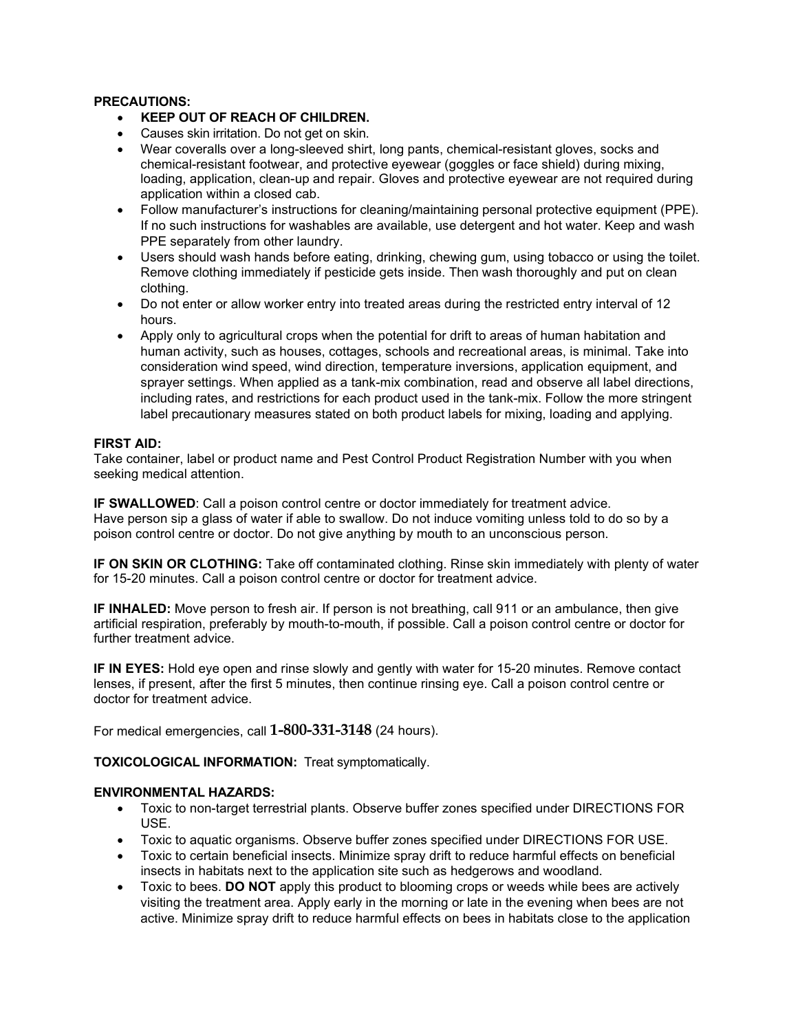### **PRECAUTIONS:**

- **KEEP OUT OF REACH OF CHILDREN.**
- Causes skin irritation. Do not get on skin.
- Wear coveralls over a long-sleeved shirt, long pants, chemical-resistant gloves, socks and chemical-resistant footwear, and protective eyewear (goggles or face shield) during mixing, loading, application, clean-up and repair. Gloves and protective eyewear are not required during application within a closed cab.
- Follow manufacturer's instructions for cleaning/maintaining personal protective equipment (PPE). If no such instructions for washables are available, use detergent and hot water. Keep and wash PPE separately from other laundry.
- Users should wash hands before eating, drinking, chewing gum, using tobacco or using the toilet. Remove clothing immediately if pesticide gets inside. Then wash thoroughly and put on clean clothing.
- Do not enter or allow worker entry into treated areas during the restricted entry interval of 12 hours.
- Apply only to agricultural crops when the potential for drift to areas of human habitation and human activity, such as houses, cottages, schools and recreational areas, is minimal. Take into consideration wind speed, wind direction, temperature inversions, application equipment, and sprayer settings. When applied as a tank-mix combination, read and observe all label directions, including rates, and restrictions for each product used in the tank-mix. Follow the more stringent label precautionary measures stated on both product labels for mixing, loading and applying.

## **FIRST AID:**

Take container, label or product name and Pest Control Product Registration Number with you when seeking medical attention.

**IF SWALLOWED**: Call a poison control centre or doctor immediately for treatment advice. Have person sip a glass of water if able to swallow. Do not induce vomiting unless told to do so by a poison control centre or doctor. Do not give anything by mouth to an unconscious person.

**IF ON SKIN OR CLOTHING:** Take off contaminated clothing. Rinse skin immediately with plenty of water for 15-20 minutes. Call a poison control centre or doctor for treatment advice.

**IF INHALED:** Move person to fresh air. If person is not breathing, call 911 or an ambulance, then give artificial respiration, preferably by mouth-to-mouth, if possible. Call a poison control centre or doctor for further treatment advice.

**IF IN EYES:** Hold eye open and rinse slowly and gently with water for 15-20 minutes. Remove contact lenses, if present, after the first 5 minutes, then continue rinsing eye. Call a poison control centre or doctor for treatment advice.

For medical emergencies, call **1-800-331-3148** (24 hours).

## **TOXICOLOGICAL INFORMATION:** Treat symptomatically.

## **ENVIRONMENTAL HAZARDS:**

- Toxic to non-target terrestrial plants. Observe buffer zones specified under DIRECTIONS FOR USE.
- Toxic to aquatic organisms. Observe buffer zones specified under DIRECTIONS FOR USE.
- Toxic to certain beneficial insects. Minimize spray drift to reduce harmful effects on beneficial insects in habitats next to the application site such as hedgerows and woodland.
- Toxic to bees. **DO NOT** apply this product to blooming crops or weeds while bees are actively visiting the treatment area. Apply early in the morning or late in the evening when bees are not active. Minimize spray drift to reduce harmful effects on bees in habitats close to the application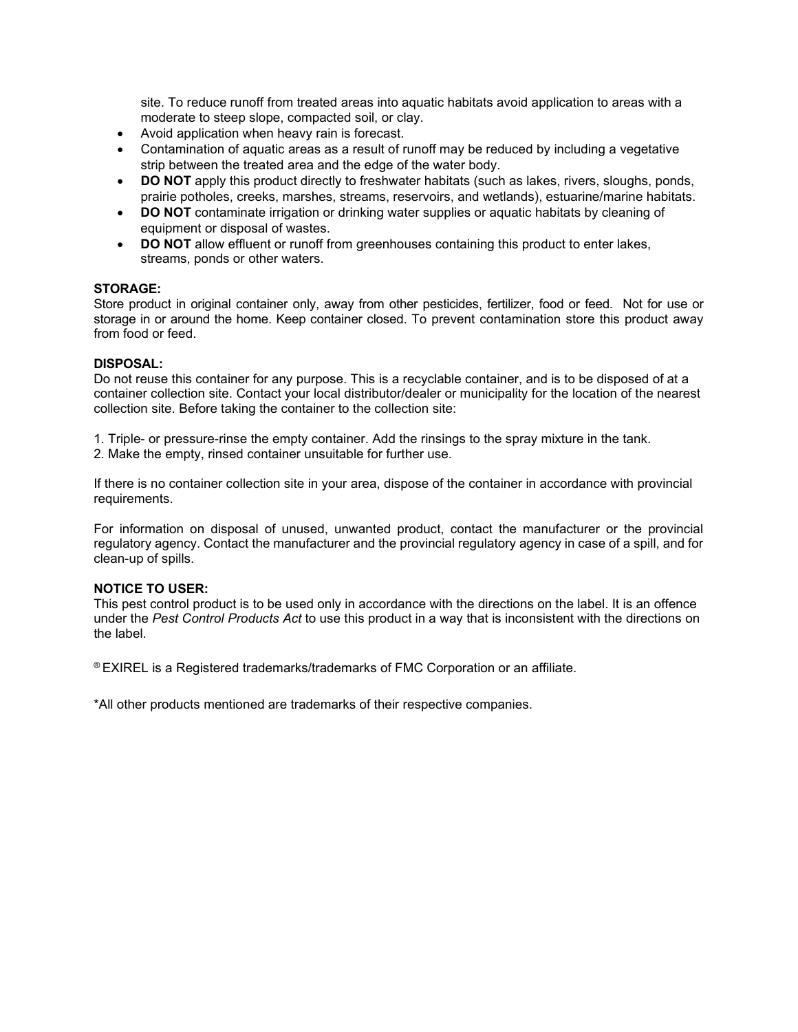site. To reduce runoff from treated areas into aquatic habitats avoid application to areas with a moderate to steep slope, compacted soil, or clay.

- Avoid application when heavy rain is forecast.
- Contamination of aquatic areas as a result of runoff may be reduced by including a vegetative strip between the treated area and the edge of the water body.
- **DO NOT** apply this product directly to freshwater habitats (such as lakes, rivers, sloughs, ponds, prairie potholes, creeks, marshes, streams, reservoirs, and wetlands), estuarine/marine habitats.
- **DO NOT** contaminate irrigation or drinking water supplies or aquatic habitats by cleaning of equipment or disposal of wastes.
- **DO NOT** allow effluent or runoff from greenhouses containing this product to enter lakes, streams, ponds or other waters.

### **STORAGE:**

Store product in original container only, away from other pesticides, fertilizer, food or feed. Not for use or storage in or around the home. Keep container closed. To prevent contamination store this product away from food or feed.

#### **DISPOSAL:**

Do not reuse this container for any purpose. This is a recyclable container, and is to be disposed of at a container collection site. Contact your local distributor/dealer or municipality for the location of the nearest collection site. Before taking the container to the collection site:

- 1. Triple- or pressure-rinse the empty container. Add the rinsings to the spray mixture in the tank.
- 2. Make the empty, rinsed container unsuitable for further use.

If there is no container collection site in your area, dispose of the container in accordance with provincial requirements.

For information on disposal of unused, unwanted product, contact the manufacturer or the provincial regulatory agency. Contact the manufacturer and the provincial regulatory agency in case of a spill, and for clean-up of spills.

## **NOTICE TO USER:**

This pest control product is to be used only in accordance with the directions on the label. It is an offence under the *Pest Control Products Act* to use this product in a way that is inconsistent with the directions on the label.

® EXIREL is a Registered trademarks/trademarks of FMC Corporation or an affiliate.

\*All other products mentioned are trademarks of their respective companies.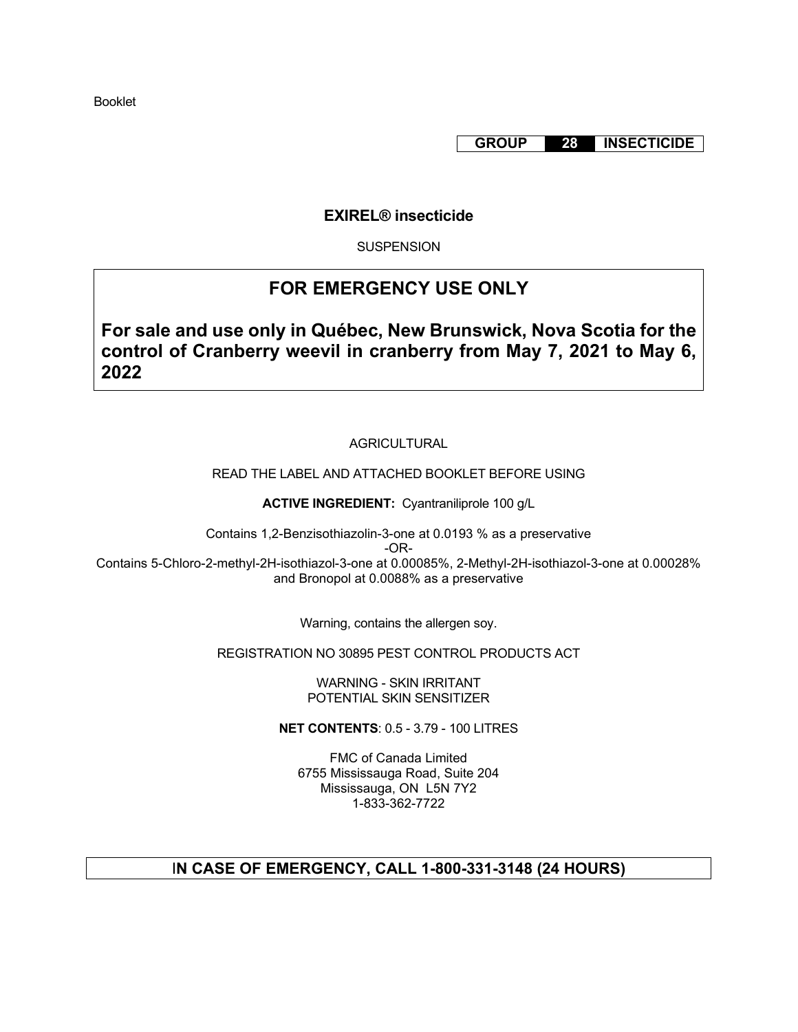Booklet

**GROUP 28 INSECTICIDE**

## **EXIREL® insecticide**

**SUSPENSION** 

# **FOR EMERGENCY USE ONLY**

**For sale and use only in Québec, New Brunswick, Nova Scotia for the control of Cranberry weevil in cranberry from May 7, 2021 to May 6, 2022**

## AGRICULTURAL

READ THE LABEL AND ATTACHED BOOKLET BEFORE USING

**ACTIVE INGREDIENT:** Cyantraniliprole 100 g/L

Contains 1,2-Benzisothiazolin-3-one at 0.0193 % as a preservative

-OR-

Contains 5-Chloro-2-methyl-2H-isothiazol-3-one at 0.00085%, 2-Methyl-2H-isothiazol-3-one at 0.00028% and Bronopol at 0.0088% as a preservative

Warning, contains the allergen soy.

REGISTRATION NO 30895 PEST CONTROL PRODUCTS ACT

WARNING - SKIN IRRITANT POTENTIAL SKIN SENSITIZER

**NET CONTENTS**: 0.5 - 3.79 - 100 LITRES

FMC of Canada Limited 6755 Mississauga Road, Suite 204 Mississauga, ON L5N 7Y2 1-833-362-7722

## I**N CASE OF EMERGENCY, CALL 1-800-331-3148 (24 HOURS)**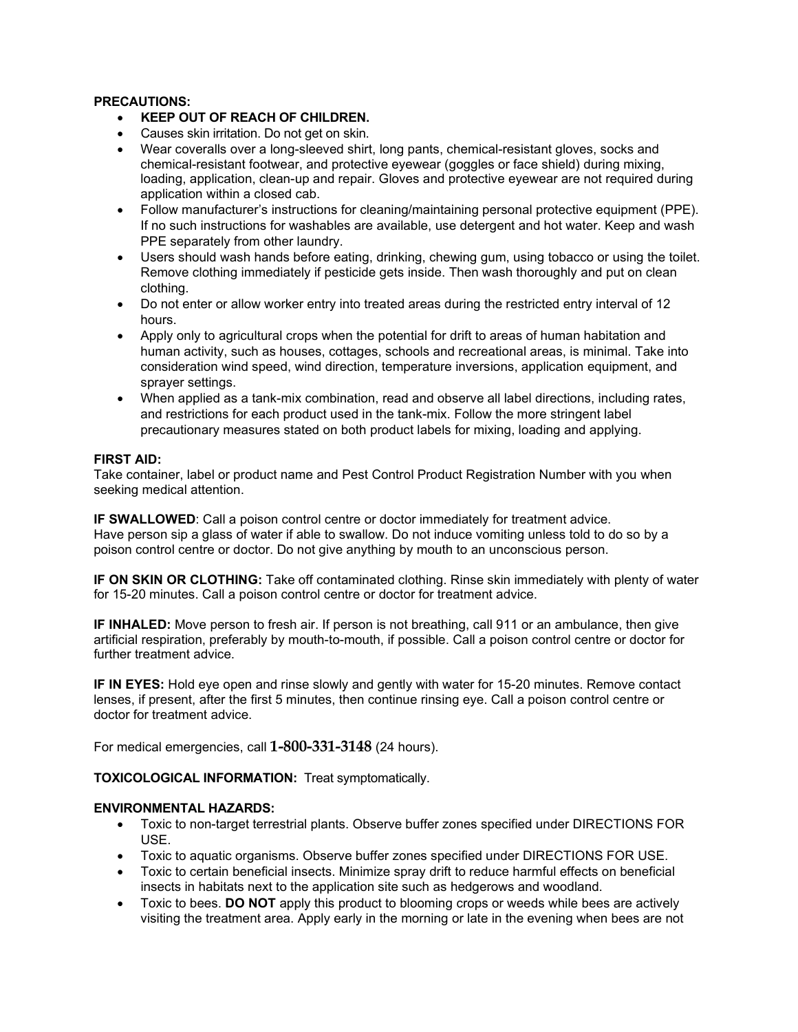### **PRECAUTIONS:**

- **KEEP OUT OF REACH OF CHILDREN.**
- Causes skin irritation. Do not get on skin.
- Wear coveralls over a long-sleeved shirt, long pants, chemical-resistant gloves, socks and chemical-resistant footwear, and protective eyewear (goggles or face shield) during mixing, loading, application, clean-up and repair. Gloves and protective eyewear are not required during application within a closed cab.
- Follow manufacturer's instructions for cleaning/maintaining personal protective equipment (PPE). If no such instructions for washables are available, use detergent and hot water. Keep and wash PPE separately from other laundry.
- Users should wash hands before eating, drinking, chewing gum, using tobacco or using the toilet. Remove clothing immediately if pesticide gets inside. Then wash thoroughly and put on clean clothing.
- Do not enter or allow worker entry into treated areas during the restricted entry interval of 12 hours.
- Apply only to agricultural crops when the potential for drift to areas of human habitation and human activity, such as houses, cottages, schools and recreational areas, is minimal. Take into consideration wind speed, wind direction, temperature inversions, application equipment, and sprayer settings.
- When applied as a tank-mix combination, read and observe all label directions, including rates, and restrictions for each product used in the tank-mix. Follow the more stringent label precautionary measures stated on both product labels for mixing, loading and applying.

## **FIRST AID:**

Take container, label or product name and Pest Control Product Registration Number with you when seeking medical attention.

**IF SWALLOWED**: Call a poison control centre or doctor immediately for treatment advice. Have person sip a glass of water if able to swallow. Do not induce vomiting unless told to do so by a poison control centre or doctor. Do not give anything by mouth to an unconscious person.

**IF ON SKIN OR CLOTHING:** Take off contaminated clothing. Rinse skin immediately with plenty of water for 15-20 minutes. Call a poison control centre or doctor for treatment advice.

**IF INHALED:** Move person to fresh air. If person is not breathing, call 911 or an ambulance, then give artificial respiration, preferably by mouth-to-mouth, if possible. Call a poison control centre or doctor for further treatment advice.

**IF IN EYES:** Hold eye open and rinse slowly and gently with water for 15-20 minutes. Remove contact lenses, if present, after the first 5 minutes, then continue rinsing eye. Call a poison control centre or doctor for treatment advice.

For medical emergencies, call **1-800-331-3148** (24 hours).

**TOXICOLOGICAL INFORMATION:** Treat symptomatically.

## **ENVIRONMENTAL HAZARDS:**

- Toxic to non-target terrestrial plants. Observe buffer zones specified under DIRECTIONS FOR USE.
- Toxic to aquatic organisms. Observe buffer zones specified under DIRECTIONS FOR USE.
- Toxic to certain beneficial insects. Minimize spray drift to reduce harmful effects on beneficial insects in habitats next to the application site such as hedgerows and woodland.
- Toxic to bees. **DO NOT** apply this product to blooming crops or weeds while bees are actively visiting the treatment area. Apply early in the morning or late in the evening when bees are not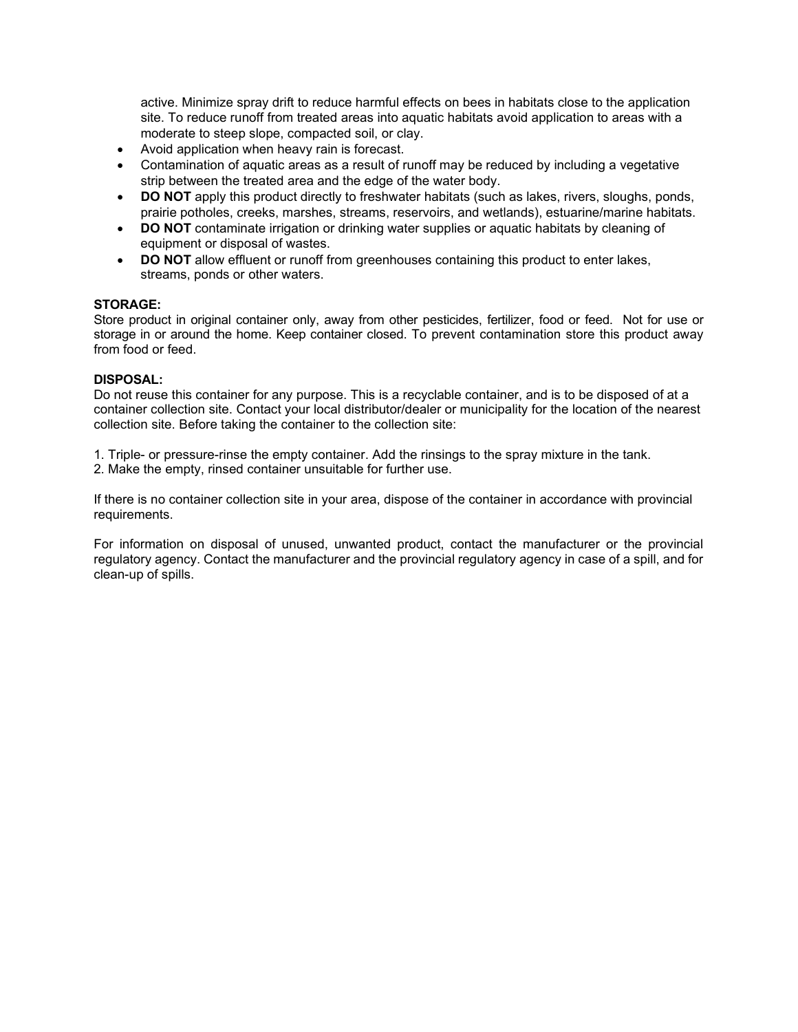active. Minimize spray drift to reduce harmful effects on bees in habitats close to the application site. To reduce runoff from treated areas into aquatic habitats avoid application to areas with a moderate to steep slope, compacted soil, or clay.

- Avoid application when heavy rain is forecast.
- Contamination of aquatic areas as a result of runoff may be reduced by including a vegetative strip between the treated area and the edge of the water body.
- **DO NOT** apply this product directly to freshwater habitats (such as lakes, rivers, sloughs, ponds, prairie potholes, creeks, marshes, streams, reservoirs, and wetlands), estuarine/marine habitats.
- **DO NOT** contaminate irrigation or drinking water supplies or aquatic habitats by cleaning of equipment or disposal of wastes.
- **DO NOT** allow effluent or runoff from greenhouses containing this product to enter lakes, streams, ponds or other waters.

#### **STORAGE:**

Store product in original container only, away from other pesticides, fertilizer, food or feed. Not for use or storage in or around the home. Keep container closed. To prevent contamination store this product away from food or feed.

### **DISPOSAL:**

Do not reuse this container for any purpose. This is a recyclable container, and is to be disposed of at a container collection site. Contact your local distributor/dealer or municipality for the location of the nearest collection site. Before taking the container to the collection site:

1. Triple- or pressure-rinse the empty container. Add the rinsings to the spray mixture in the tank.

2. Make the empty, rinsed container unsuitable for further use.

If there is no container collection site in your area, dispose of the container in accordance with provincial requirements.

For information on disposal of unused, unwanted product, contact the manufacturer or the provincial regulatory agency. Contact the manufacturer and the provincial regulatory agency in case of a spill, and for clean-up of spills.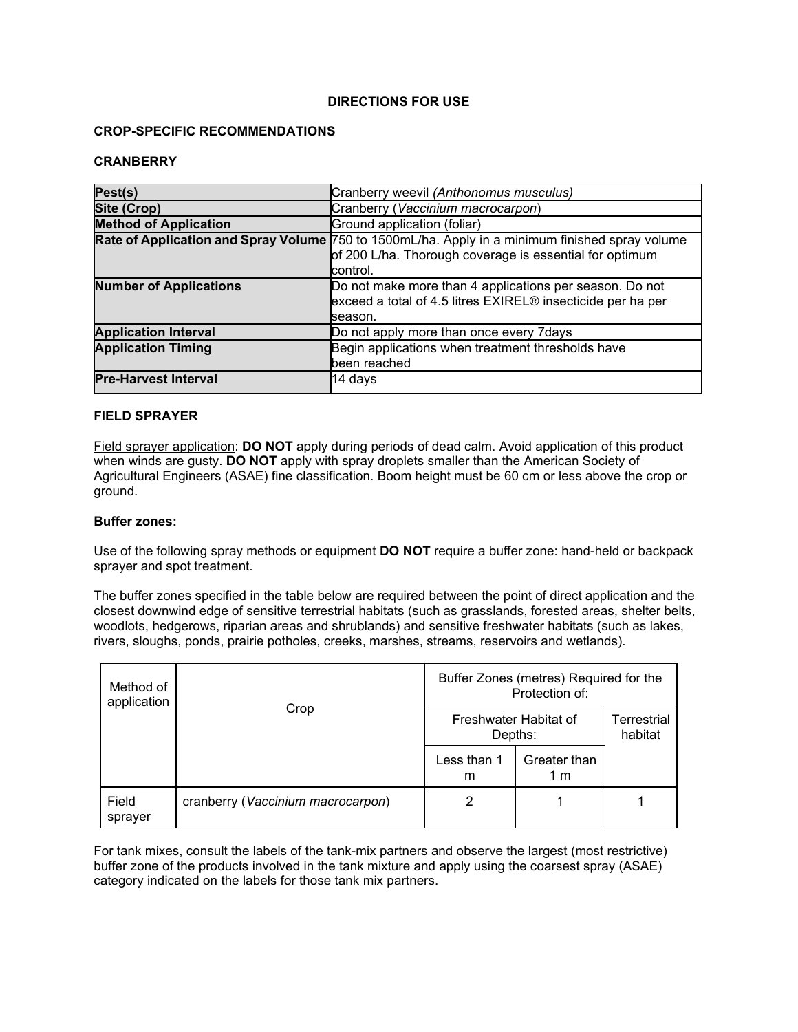### **DIRECTIONS FOR USE**

#### **CROP-SPECIFIC RECOMMENDATIONS**

#### **CRANBERRY**

| Pest(s)                       | Cranberry weevil (Anthonomus musculus)                                                                                                                                 |  |  |
|-------------------------------|------------------------------------------------------------------------------------------------------------------------------------------------------------------------|--|--|
| Site (Crop)                   | Cranberry (Vaccinium macrocarpon)                                                                                                                                      |  |  |
| <b>Method of Application</b>  | Ground application (foliar)                                                                                                                                            |  |  |
|                               | Rate of Application and Spray Volume 750 to 1500mL/ha. Apply in a minimum finished spray volume<br>of 200 L/ha. Thorough coverage is essential for optimum<br>control. |  |  |
| <b>Number of Applications</b> | Do not make more than 4 applications per season. Do not<br>exceed a total of 4.5 litres EXIREL® insecticide per ha per<br>Iseason.                                     |  |  |
| <b>Application Interval</b>   | Do not apply more than once every 7days                                                                                                                                |  |  |
| <b>Application Timing</b>     | Begin applications when treatment thresholds have<br>been reached                                                                                                      |  |  |
| <b>Pre-Harvest Interval</b>   | 14 days                                                                                                                                                                |  |  |

### **FIELD SPRAYER**

Field sprayer application: **DO NOT** apply during periods of dead calm. Avoid application of this product when winds are gusty. **DO NOT** apply with spray droplets smaller than the American Society of Agricultural Engineers (ASAE) fine classification. Boom height must be 60 cm or less above the crop or ground.

#### **Buffer zones:**

Use of the following spray methods or equipment **DO NOT** require a buffer zone: hand-held or backpack sprayer and spot treatment.

The buffer zones specified in the table below are required between the point of direct application and the closest downwind edge of sensitive terrestrial habitats (such as grasslands, forested areas, shelter belts, woodlots, hedgerows, riparian areas and shrublands) and sensitive freshwater habitats (such as lakes, rivers, sloughs, ponds, prairie potholes, creeks, marshes, streams, reservoirs and wetlands).

| Method of<br>application | Crop                              | Buffer Zones (metres) Required for the<br>Protection of: |                     |                        |
|--------------------------|-----------------------------------|----------------------------------------------------------|---------------------|------------------------|
|                          |                                   | Freshwater Habitat of<br>Depths:                         |                     | Terrestrial<br>habitat |
|                          |                                   | Less than 1<br>m                                         | Greater than<br>1 m |                        |
| Field<br>sprayer         | cranberry (Vaccinium macrocarpon) | 2                                                        |                     |                        |

For tank mixes, consult the labels of the tank-mix partners and observe the largest (most restrictive) buffer zone of the products involved in the tank mixture and apply using the coarsest spray (ASAE) category indicated on the labels for those tank mix partners.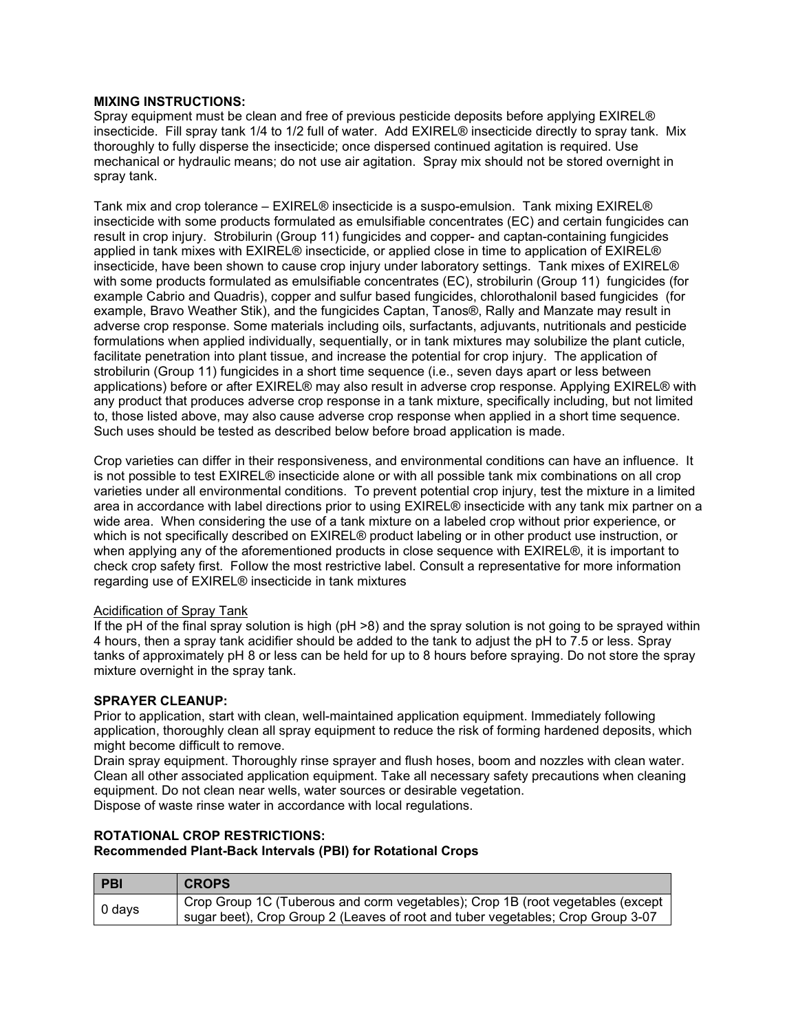#### **MIXING INSTRUCTIONS:**

Spray equipment must be clean and free of previous pesticide deposits before applying EXIREL® insecticide. Fill spray tank 1/4 to 1/2 full of water. Add EXIREL® insecticide directly to spray tank. Mix thoroughly to fully disperse the insecticide; once dispersed continued agitation is required. Use mechanical or hydraulic means; do not use air agitation. Spray mix should not be stored overnight in spray tank.

Tank mix and crop tolerance – EXIREL® insecticide is a suspo-emulsion. Tank mixing EXIREL® insecticide with some products formulated as emulsifiable concentrates (EC) and certain fungicides can result in crop injury. Strobilurin (Group 11) fungicides and copper- and captan-containing fungicides applied in tank mixes with EXIREL® insecticide, or applied close in time to application of EXIREL® insecticide, have been shown to cause crop injury under laboratory settings. Tank mixes of EXIREL® with some products formulated as emulsifiable concentrates (EC), strobilurin (Group 11) fungicides (for example Cabrio and Quadris), copper and sulfur based fungicides, chlorothalonil based fungicides (for example, Bravo Weather Stik), and the fungicides Captan, Tanos®, Rally and Manzate may result in adverse crop response. Some materials including oils, surfactants, adjuvants, nutritionals and pesticide formulations when applied individually, sequentially, or in tank mixtures may solubilize the plant cuticle, facilitate penetration into plant tissue, and increase the potential for crop injury. The application of strobilurin (Group 11) fungicides in a short time sequence (i.e., seven days apart or less between applications) before or after EXIREL® may also result in adverse crop response. Applying EXIREL® with any product that produces adverse crop response in a tank mixture, specifically including, but not limited to, those listed above, may also cause adverse crop response when applied in a short time sequence. Such uses should be tested as described below before broad application is made.

Crop varieties can differ in their responsiveness, and environmental conditions can have an influence. It is not possible to test EXIREL® insecticide alone or with all possible tank mix combinations on all crop varieties under all environmental conditions. To prevent potential crop injury, test the mixture in a limited area in accordance with label directions prior to using EXIREL® insecticide with any tank mix partner on a wide area. When considering the use of a tank mixture on a labeled crop without prior experience, or which is not specifically described on EXIREL<sup>®</sup> product labeling or in other product use instruction, or when applying any of the aforementioned products in close sequence with EXIREL®, it is important to check crop safety first. Follow the most restrictive label. Consult a representative for more information regarding use of EXIREL® insecticide in tank mixtures

#### Acidification of Spray Tank

If the pH of the final spray solution is high ( $pH > 8$ ) and the spray solution is not going to be sprayed within 4 hours, then a spray tank acidifier should be added to the tank to adjust the pH to 7.5 or less. Spray tanks of approximately pH 8 or less can be held for up to 8 hours before spraying. Do not store the spray mixture overnight in the spray tank.

#### **SPRAYER CLEANUP:**

Prior to application, start with clean, well-maintained application equipment. Immediately following application, thoroughly clean all spray equipment to reduce the risk of forming hardened deposits, which might become difficult to remove.

Drain spray equipment. Thoroughly rinse sprayer and flush hoses, boom and nozzles with clean water. Clean all other associated application equipment. Take all necessary safety precautions when cleaning equipment. Do not clean near wells, water sources or desirable vegetation. Dispose of waste rinse water in accordance with local regulations.

## **ROTATIONAL CROP RESTRICTIONS:**

**Recommended Plant-Back Intervals (PBI) for Rotational Crops**

| l PBI  | <b>CROPS</b>                                                                    |
|--------|---------------------------------------------------------------------------------|
| 0 days | Crop Group 1C (Tuberous and corm vegetables); Crop 1B (root vegetables (except  |
|        | sugar beet), Crop Group 2 (Leaves of root and tuber vegetables; Crop Group 3-07 |